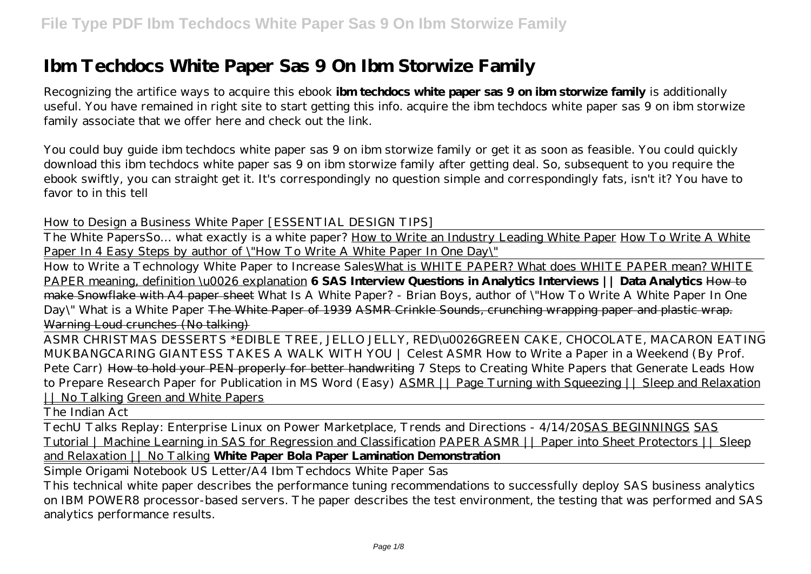# **Ibm Techdocs White Paper Sas 9 On Ibm Storwize Family**

Recognizing the artifice ways to acquire this ebook **ibm techdocs white paper sas 9 on ibm storwize family** is additionally useful. You have remained in right site to start getting this info. acquire the ibm techdocs white paper sas 9 on ibm storwize family associate that we offer here and check out the link.

You could buy guide ibm techdocs white paper sas 9 on ibm storwize family or get it as soon as feasible. You could quickly download this ibm techdocs white paper sas 9 on ibm storwize family after getting deal. So, subsequent to you require the ebook swiftly, you can straight get it. It's correspondingly no question simple and correspondingly fats, isn't it? You have to favor to in this tell

*How to Design a Business White Paper [ESSENTIAL DESIGN TIPS]*

The White Papers*So… what exactly is a white paper?* How to Write an Industry Leading White Paper How To Write A White Paper In 4 Easy Steps by author of \"How To Write A White Paper In One Day\"

How to Write a Technology White Paper to Increase SalesWhat is WHITE PAPER? What does WHITE PAPER mean? WHITE PAPER meaning, definition \u0026 explanation **6 SAS Interview Questions in Analytics Interviews || Data Analytics** How to make Snowflake with A4 paper sheet *What Is A White Paper? - Brian Boys, author of \"How To Write A White Paper In One Day\" What is a White Paper* The White Paper of 1939 ASMR Crinkle Sounds, crunching wrapping paper and plastic wrap. Warning Loud crunches (No talking)

ASMR CHRISTMAS DESSERTS \*EDIBLE TREE, JELLO JELLY, RED\u0026GREEN CAKE, CHOCOLATE, MACARON EATING MUKBANG*CARING GIANTESS TAKES A WALK WITH YOU | Celest ASMR How to Write a Paper in a Weekend (By Prof. Pete Carr)* How to hold your PEN properly for better handwriting *7 Steps to Creating White Papers that Generate Leads* How to Prepare Research Paper for Publication in MS Word (Easy) ASMR || Page Turning with Squeezing || Sleep and Relaxation | | No Talking Green and White Papers

The Indian Act

TechU Talks Replay: Enterprise Linux on Power Marketplace, Trends and Directions - 4/14/20SAS BEGINNINGS SAS Tutorial | Machine Learning in SAS for Regression and Classification PAPER ASMR || Paper into Sheet Protectors || Sleep and Relaxation || No Talking **White Paper Bola Paper Lamination Demonstration**

Simple Origami Notebook US Letter/A4 Ibm Techdocs White Paper Sas

This technical white paper describes the performance tuning recommendations to successfully deploy SAS business analytics on IBM POWER8 processor-based servers. The paper describes the test environment, the testing that was performed and SAS analytics performance results.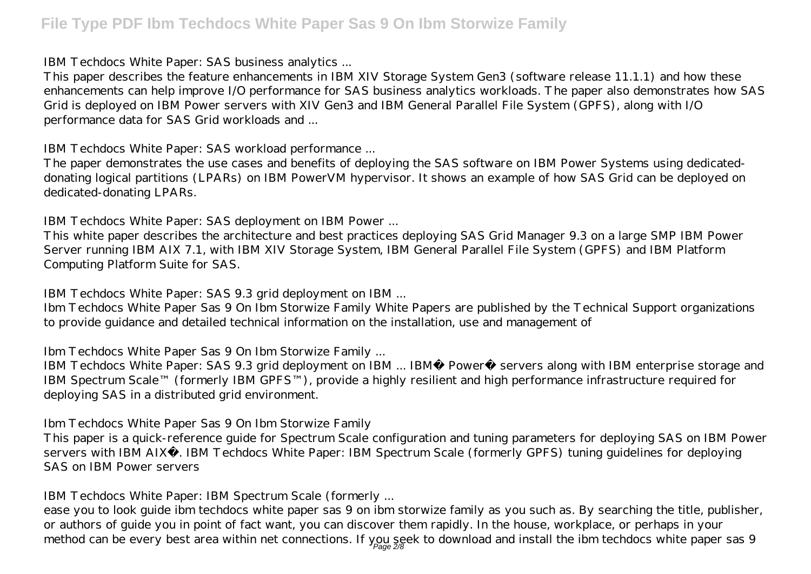IBM Techdocs White Paper: SAS business analytics ...

This paper describes the feature enhancements in IBM XIV Storage System Gen3 (software release 11.1.1) and how these enhancements can help improve I/O performance for SAS business analytics workloads. The paper also demonstrates how SAS Grid is deployed on IBM Power servers with XIV Gen3 and IBM General Parallel File System (GPFS), along with I/O performance data for SAS Grid workloads and ...

IBM Techdocs White Paper: SAS workload performance ...

The paper demonstrates the use cases and benefits of deploying the SAS software on IBM Power Systems using dedicateddonating logical partitions (LPARs) on IBM PowerVM hypervisor. It shows an example of how SAS Grid can be deployed on dedicated-donating LPARs.

IBM Techdocs White Paper: SAS deployment on IBM Power ...

This white paper describes the architecture and best practices deploying SAS Grid Manager 9.3 on a large SMP IBM Power Server running IBM AIX 7.1, with IBM XIV Storage System, IBM General Parallel File System (GPFS) and IBM Platform Computing Platform Suite for SAS.

IBM Techdocs White Paper: SAS 9.3 grid deployment on IBM ...

Ibm Techdocs White Paper Sas 9 On Ibm Storwize Family White Papers are published by the Technical Support organizations to provide guidance and detailed technical information on the installation, use and management of

Ibm Techdocs White Paper Sas 9 On Ibm Storwize Family ...

IBM Techdocs White Paper: SAS 9.3 grid deployment on IBM ... IBM® Power® servers along with IBM enterprise storage and IBM Spectrum Scale™ (formerly IBM GPFS™), provide a highly resilient and high performance infrastructure required for deploying SAS in a distributed grid environment.

Ibm Techdocs White Paper Sas 9 On Ibm Storwize Family

This paper is a quick-reference guide for Spectrum Scale configuration and tuning parameters for deploying SAS on IBM Power servers with IBM AIX®. IBM Techdocs White Paper: IBM Spectrum Scale (formerly GPFS) tuning guidelines for deploying SAS on IBM Power servers

IBM Techdocs White Paper: IBM Spectrum Scale (formerly ...

ease you to look guide ibm techdocs white paper sas 9 on ibm storwize family as you such as. By searching the title, publisher, or authors of guide you in point of fact want, you can discover them rapidly. In the house, workplace, or perhaps in your method can be every best area within net connections. If you seek to download and install the ibm techdocs white paper sas 9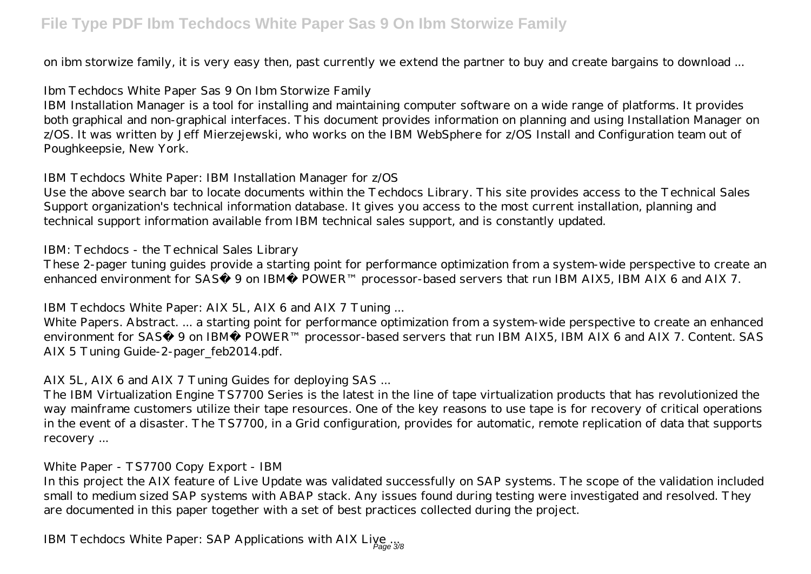on ibm storwize family, it is very easy then, past currently we extend the partner to buy and create bargains to download ...

Ibm Techdocs White Paper Sas 9 On Ibm Storwize Family

IBM Installation Manager is a tool for installing and maintaining computer software on a wide range of platforms. It provides both graphical and non-graphical interfaces. This document provides information on planning and using Installation Manager on z/OS. It was written by Jeff Mierzejewski, who works on the IBM WebSphere for z/OS Install and Configuration team out of Poughkeepsie, New York.

IBM Techdocs White Paper: IBM Installation Manager for z/OS

Use the above search bar to locate documents within the Techdocs Library. This site provides access to the Technical Sales Support organization's technical information database. It gives you access to the most current installation, planning and technical support information available from IBM technical sales support, and is constantly updated.

IBM: Techdocs - the Technical Sales Library

These 2-pager tuning guides provide a starting point for performance optimization from a system-wide perspective to create an enhanced environment for SAS® 9 on IBM® POWER™ processor-based servers that run IBM AIX5, IBM AIX 6 and AIX 7.

IBM Techdocs White Paper: AIX 5L, AIX 6 and AIX 7 Tuning ...

White Papers. Abstract. ... a starting point for performance optimization from a system-wide perspective to create an enhanced environment for SAS® 9 on IBM® POWER™ processor-based servers that run IBM AIX5, IBM AIX 6 and AIX 7. Content. SAS AIX 5 Tuning Guide-2-pager\_feb2014.pdf.

AIX 5L, AIX 6 and AIX 7 Tuning Guides for deploying SAS ...

The IBM Virtualization Engine TS7700 Series is the latest in the line of tape virtualization products that has revolutionized the way mainframe customers utilize their tape resources. One of the key reasons to use tape is for recovery of critical operations in the event of a disaster. The TS7700, in a Grid configuration, provides for automatic, remote replication of data that supports recovery ...

White Paper - TS7700 Copy Export - IBM

In this project the AIX feature of Live Update was validated successfully on SAP systems. The scope of the validation included small to medium sized SAP systems with ABAP stack. Any issues found during testing were investigated and resolved. They are documented in this paper together with a set of best practices collected during the project.

IBM Techdocs White Paper: SAP Applications with AIX Live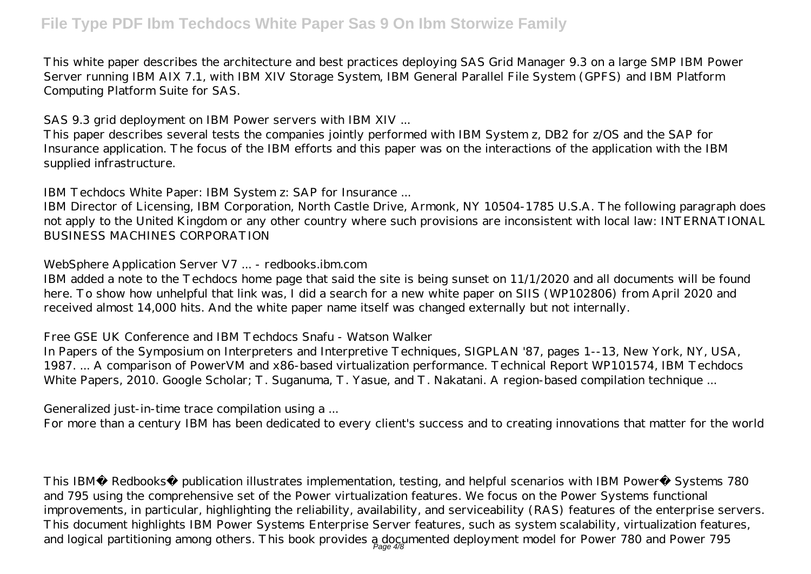This white paper describes the architecture and best practices deploying SAS Grid Manager 9.3 on a large SMP IBM Power Server running IBM AIX 7.1, with IBM XIV Storage System, IBM General Parallel File System (GPFS) and IBM Platform Computing Platform Suite for SAS.

SAS 9.3 grid deployment on IBM Power servers with IBM XIV ...

This paper describes several tests the companies jointly performed with IBM System z, DB2 for z/OS and the SAP for Insurance application. The focus of the IBM efforts and this paper was on the interactions of the application with the IBM supplied infrastructure.

IBM Techdocs White Paper: IBM System z: SAP for Insurance ...

IBM Director of Licensing, IBM Corporation, North Castle Drive, Armonk, NY 10504-1785 U.S.A. The following paragraph does not apply to the United Kingdom or any other country where such provisions are inconsistent with local law: INTERNATIONAL BUSINESS MACHINES CORPORATION

WebSphere Application Server V7 ... - redbooks.ibm.com

IBM added a note to the Techdocs home page that said the site is being sunset on 11/1/2020 and all documents will be found here. To show how unhelpful that link was, I did a search for a new white paper on SIIS (WP102806) from April 2020 and received almost 14,000 hits. And the white paper name itself was changed externally but not internally.

Free GSE UK Conference and IBM Techdocs Snafu - Watson Walker

In Papers of the Symposium on Interpreters and Interpretive Techniques, SIGPLAN '87, pages 1--13, New York, NY, USA, 1987. ... A comparison of PowerVM and x86-based virtualization performance. Technical Report WP101574, IBM Techdocs White Papers, 2010. Google Scholar; T. Suganuma, T. Yasue, and T. Nakatani. A region-based compilation technique ...

Generalized just-in-time trace compilation using a ...

For more than a century IBM has been dedicated to every client's success and to creating innovations that matter for the world

This IBM® Redbooks® publication illustrates implementation, testing, and helpful scenarios with IBM Power® Systems 780 and 795 using the comprehensive set of the Power virtualization features. We focus on the Power Systems functional improvements, in particular, highlighting the reliability, availability, and serviceability (RAS) features of the enterprise servers. This document highlights IBM Power Systems Enterprise Server features, such as system scalability, virtualization features, and logical partitioning among others. This book provides a documented deployment model for Power 780 and Power 795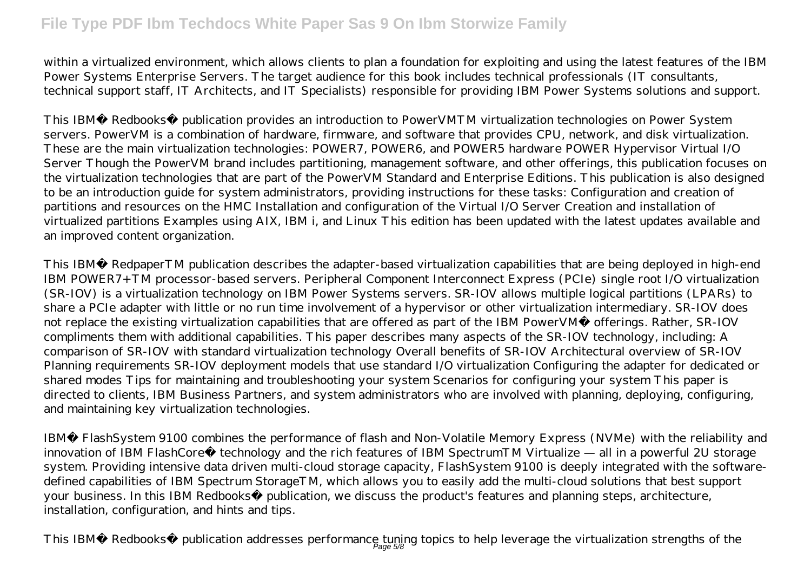within a virtualized environment, which allows clients to plan a foundation for exploiting and using the latest features of the IBM Power Systems Enterprise Servers. The target audience for this book includes technical professionals (IT consultants, technical support staff, IT Architects, and IT Specialists) responsible for providing IBM Power Systems solutions and support.

This IBM® Redbooks® publication provides an introduction to PowerVMTM virtualization technologies on Power System servers. PowerVM is a combination of hardware, firmware, and software that provides CPU, network, and disk virtualization. These are the main virtualization technologies: POWER7, POWER6, and POWER5 hardware POWER Hypervisor Virtual I/O Server Though the PowerVM brand includes partitioning, management software, and other offerings, this publication focuses on the virtualization technologies that are part of the PowerVM Standard and Enterprise Editions. This publication is also designed to be an introduction guide for system administrators, providing instructions for these tasks: Configuration and creation of partitions and resources on the HMC Installation and configuration of the Virtual I/O Server Creation and installation of virtualized partitions Examples using AIX, IBM i, and Linux This edition has been updated with the latest updates available and an improved content organization.

This IBM® RedpaperTM publication describes the adapter-based virtualization capabilities that are being deployed in high-end IBM POWER7+TM processor-based servers. Peripheral Component Interconnect Express (PCIe) single root I/O virtualization (SR-IOV) is a virtualization technology on IBM Power Systems servers. SR-IOV allows multiple logical partitions (LPARs) to share a PCIe adapter with little or no run time involvement of a hypervisor or other virtualization intermediary. SR-IOV does not replace the existing virtualization capabilities that are offered as part of the IBM PowerVM® offerings. Rather, SR-IOV compliments them with additional capabilities. This paper describes many aspects of the SR-IOV technology, including: A comparison of SR-IOV with standard virtualization technology Overall benefits of SR-IOV Architectural overview of SR-IOV Planning requirements SR-IOV deployment models that use standard I/O virtualization Configuring the adapter for dedicated or shared modes Tips for maintaining and troubleshooting your system Scenarios for configuring your system This paper is directed to clients, IBM Business Partners, and system administrators who are involved with planning, deploying, configuring, and maintaining key virtualization technologies.

IBM® FlashSystem 9100 combines the performance of flash and Non-Volatile Memory Express (NVMe) with the reliability and innovation of IBM FlashCore® technology and the rich features of IBM SpectrumTM Virtualize — all in a powerful 2U storage system. Providing intensive data driven multi-cloud storage capacity, FlashSystem 9100 is deeply integrated with the softwaredefined capabilities of IBM Spectrum StorageTM, which allows you to easily add the multi-cloud solutions that best support your business. In this IBM Redbooks® publication, we discuss the product's features and planning steps, architecture, installation, configuration, and hints and tips.

This IBM® Redbooks® publication addresses performance tuning topics to help leverage the virtualization strengths of the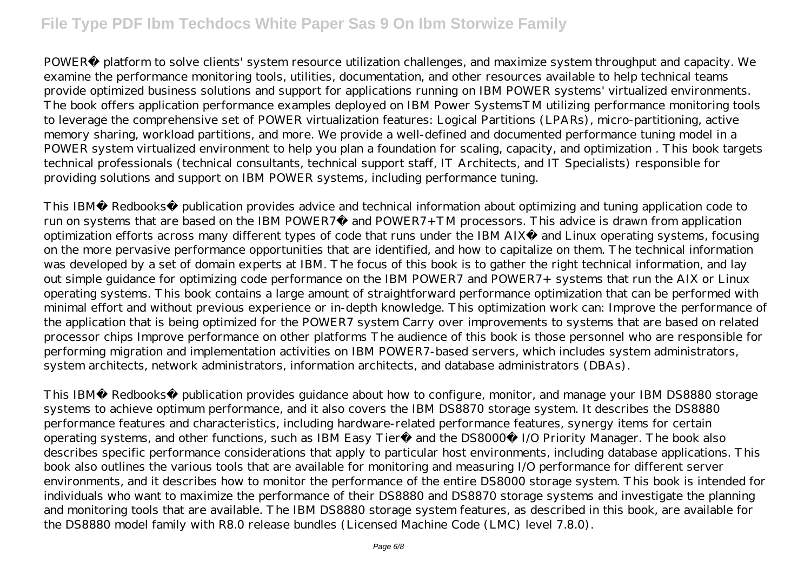POWER® platform to solve clients' system resource utilization challenges, and maximize system throughput and capacity. We examine the performance monitoring tools, utilities, documentation, and other resources available to help technical teams provide optimized business solutions and support for applications running on IBM POWER systems' virtualized environments. The book offers application performance examples deployed on IBM Power SystemsTM utilizing performance monitoring tools to leverage the comprehensive set of POWER virtualization features: Logical Partitions (LPARs), micro-partitioning, active memory sharing, workload partitions, and more. We provide a well-defined and documented performance tuning model in a POWER system virtualized environment to help you plan a foundation for scaling, capacity, and optimization . This book targets technical professionals (technical consultants, technical support staff, IT Architects, and IT Specialists) responsible for providing solutions and support on IBM POWER systems, including performance tuning.

This IBM® Redbooks® publication provides advice and technical information about optimizing and tuning application code to run on systems that are based on the IBM POWER7® and POWER7+ TM processors. This advice is drawn from application optimization efforts across many different types of code that runs under the IBM AIX® and Linux operating systems, focusing on the more pervasive performance opportunities that are identified, and how to capitalize on them. The technical information was developed by a set of domain experts at IBM. The focus of this book is to gather the right technical information, and lay out simple guidance for optimizing code performance on the IBM POWER7 and POWER7+ systems that run the AIX or Linux operating systems. This book contains a large amount of straightforward performance optimization that can be performed with minimal effort and without previous experience or in-depth knowledge. This optimization work can: Improve the performance of the application that is being optimized for the POWER7 system Carry over improvements to systems that are based on related processor chips Improve performance on other platforms The audience of this book is those personnel who are responsible for performing migration and implementation activities on IBM POWER7-based servers, which includes system administrators, system architects, network administrators, information architects, and database administrators (DBAs).

This IBM® Redbooks® publication provides guidance about how to configure, monitor, and manage your IBM DS8880 storage systems to achieve optimum performance, and it also covers the IBM DS8870 storage system. It describes the DS8880 performance features and characteristics, including hardware-related performance features, synergy items for certain operating systems, and other functions, such as IBM Easy Tier® and the DS8000® I/O Priority Manager. The book also describes specific performance considerations that apply to particular host environments, including database applications. This book also outlines the various tools that are available for monitoring and measuring I/O performance for different server environments, and it describes how to monitor the performance of the entire DS8000 storage system. This book is intended for individuals who want to maximize the performance of their DS8880 and DS8870 storage systems and investigate the planning and monitoring tools that are available. The IBM DS8880 storage system features, as described in this book, are available for the DS8880 model family with R8.0 release bundles (Licensed Machine Code (LMC) level 7.8.0).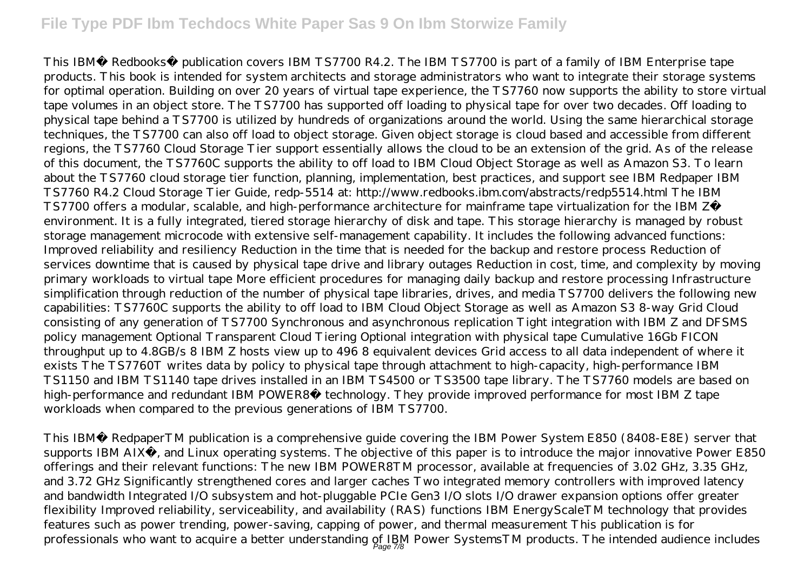This IBM® Redbooks® publication covers IBM TS7700 R4.2. The IBM TS7700 is part of a family of IBM Enterprise tape products. This book is intended for system architects and storage administrators who want to integrate their storage systems for optimal operation. Building on over 20 years of virtual tape experience, the TS7760 now supports the ability to store virtual tape volumes in an object store. The TS7700 has supported off loading to physical tape for over two decades. Off loading to physical tape behind a TS7700 is utilized by hundreds of organizations around the world. Using the same hierarchical storage techniques, the TS7700 can also off load to object storage. Given object storage is cloud based and accessible from different regions, the TS7760 Cloud Storage Tier support essentially allows the cloud to be an extension of the grid. As of the release of this document, the TS7760C supports the ability to off load to IBM Cloud Object Storage as well as Amazon S3. To learn about the TS7760 cloud storage tier function, planning, implementation, best practices, and support see IBM Redpaper IBM TS7760 R4.2 Cloud Storage Tier Guide, redp-5514 at: http://www.redbooks.ibm.com/abstracts/redp5514.html The IBM TS7700 offers a modular, scalable, and high-performance architecture for mainframe tape virtualization for the IBM Z® environment. It is a fully integrated, tiered storage hierarchy of disk and tape. This storage hierarchy is managed by robust storage management microcode with extensive self-management capability. It includes the following advanced functions: Improved reliability and resiliency Reduction in the time that is needed for the backup and restore process Reduction of services downtime that is caused by physical tape drive and library outages Reduction in cost, time, and complexity by moving primary workloads to virtual tape More efficient procedures for managing daily backup and restore processing Infrastructure simplification through reduction of the number of physical tape libraries, drives, and media TS7700 delivers the following new capabilities: TS7760C supports the ability to off load to IBM Cloud Object Storage as well as Amazon S3 8-way Grid Cloud consisting of any generation of TS7700 Synchronous and asynchronous replication Tight integration with IBM Z and DFSMS policy management Optional Transparent Cloud Tiering Optional integration with physical tape Cumulative 16Gb FICON throughput up to 4.8GB/s 8 IBM Z hosts view up to 496 8 equivalent devices Grid access to all data independent of where it exists The TS7760T writes data by policy to physical tape through attachment to high-capacity, high-performance IBM TS1150 and IBM TS1140 tape drives installed in an IBM TS4500 or TS3500 tape library. The TS7760 models are based on high-performance and redundant IBM POWER8® technology. They provide improved performance for most IBM Z tape workloads when compared to the previous generations of IBM TS7700.

This IBM® RedpaperTM publication is a comprehensive guide covering the IBM Power System E850 (8408-E8E) server that supports IBM AIX®, and Linux operating systems. The objective of this paper is to introduce the major innovative Power E850 offerings and their relevant functions: The new IBM POWER8TM processor, available at frequencies of 3.02 GHz, 3.35 GHz, and 3.72 GHz Significantly strengthened cores and larger caches Two integrated memory controllers with improved latency and bandwidth Integrated I/O subsystem and hot-pluggable PCIe Gen3 I/O slots I/O drawer expansion options offer greater flexibility Improved reliability, serviceability, and availability (RAS) functions IBM EnergyScaleTM technology that provides features such as power trending, power-saving, capping of power, and thermal measurement This publication is for professionals who want to acquire a better understanding of IBM Power SystemsTM products. The intended audience includes